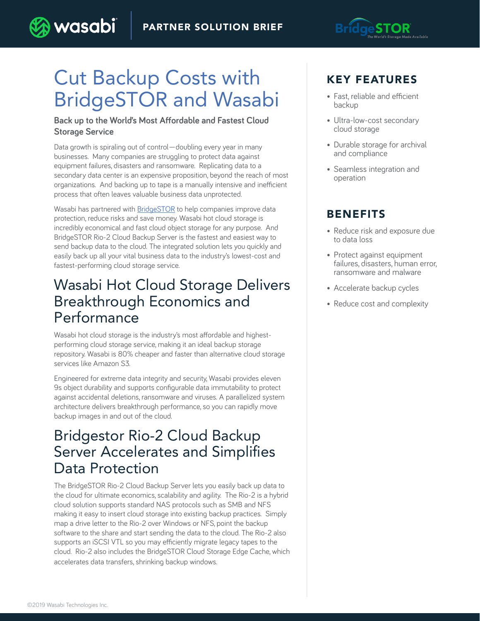

## Cut Backup Costs with BridgeSTOR and Wasabi

wasabi

#### **Back up to the World's Most Affordable and Fastest Cloud Storage Service**

Data growth is spiraling out of control—doubling every year in many businesses. Many companies are struggling to protect data against equipment failures, disasters and ransomware. Replicating data to a secondary data center is an expensive proposition, beyond the reach of most organizations. And backing up to tape is a manually intensive and inefficient process that often leaves valuable business data unprotected.

Wasabi has partnered with [BridgeSTOR](http://bridgestor.com/) to help companies improve data protection, reduce risks and save money. Wasabi hot cloud storage is incredibly economical and fast cloud object storage for any purpose. And BridgeSTOR Rio-2 Cloud Backup Server is the fastest and easiest way to send backup data to the cloud. The integrated solution lets you quickly and easily back up all your vital business data to the industry's lowest-cost and fastest-performing cloud storage service.

#### Wasabi Hot Cloud Storage Delivers Breakthrough Economics and Performance

Wasabi hot cloud storage is the industry's most affordable and highestperforming cloud storage service, making it an ideal backup storage repository. Wasabi is 80% cheaper and faster than alternative cloud storage services like Amazon S3.

Engineered for extreme data integrity and security, Wasabi provides eleven 9s object durability and supports configurable data immutability to protect against accidental deletions, ransomware and viruses. A parallelized system architecture delivers breakthrough performance, so you can rapidly move backup images in and out of the cloud.

## Bridgestor Rio-2 Cloud Backup Server Accelerates and Simplifies Data Protection

The BridgeSTOR Rio-2 Cloud Backup Server lets you easily back up data to the cloud for ultimate economics, scalability and agility. The Rio-2 is a hybrid cloud solution supports standard NAS protocols such as SMB and NFS making it easy to insert cloud storage into existing backup practices. Simply map a drive letter to the Rio-2 over Windows or NFS, point the backup software to the share and start sending the data to the cloud. The Rio-2 also supports an iSCSI VTL so you may efficiently migrate legacy tapes to the cloud. Rio-2 also includes the BridgeSTOR Cloud Storage Edge Cache, which accelerates data transfers, shrinking backup windows.

#### KEY FEATURES

- Fast, reliable and efficient backup
- Ultra-low-cost secondary cloud storage
- Durable storage for archival and compliance
- Seamless integration and operation

#### BENEFITS

- Reduce risk and exposure due to data loss
- Protect against equipment failures, disasters, human error, ransomware and malware
- Accelerate backup cycles
- Reduce cost and complexity